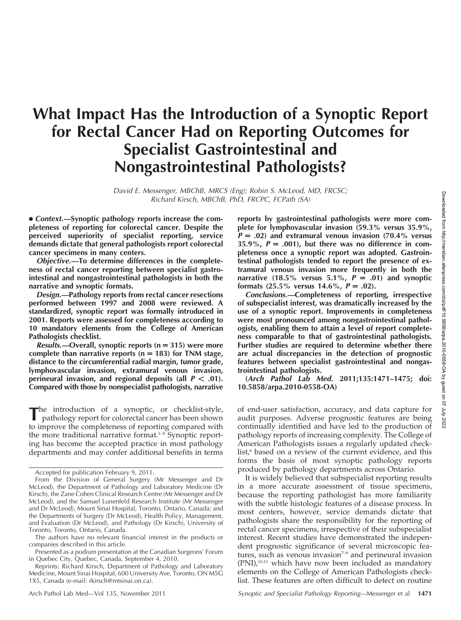# What Impact Has the Introduction of a Synoptic Report for Rectal Cancer Had on Reporting Outcomes for Specialist Gastrointestinal and Nongastrointestinal Pathologists?

David E. Messenger, MBChB, MRCS (Eng); Robin S. McLeod, MD, FRCSC; Richard Kirsch, MBChB, PhD, FRCPC, FCPath (SA)

• Context.—Synoptic pathology reports increase the completeness of reporting for colorectal cancer. Despite the perceived superiority of specialist reporting, service demands dictate that general pathologists report colorectal cancer specimens in many centers.

Objective.—To determine differences in the completeness of rectal cancer reporting between specialist gastrointestinal and nongastrointestinal pathologists in both the narrative and synoptic formats.

Design.—Pathology reports from rectal cancer resections performed between 1997 and 2008 were reviewed. A standardized, synoptic report was formally introduced in 2001. Reports were assessed for completeness according to 10 mandatory elements from the College of American Pathologists checklist.

Results.—Overall, synoptic reports ( $n = 315$ ) were more complete than narrative reports  $(n = 183)$  for TNM stage, distance to the circumferential radial margin, tumor grade, lymphovascular invasion, extramural venous invasion, perineural invasion, and regional deposits (all  $P < .01$ ). Compared with those by nonspecialist pathologists, narrative

The introduction of a synoptic, or checklist-style, pathology report for colorectal cancer has been shown to improve the completeness of reporting compared with the more traditional narrative format.<sup>1-5</sup> Synoptic reporting has become the accepted practice in most pathology departments and may confer additional benefits in terms

reports by gastrointestinal pathologists were more complete for lymphovascular invasion (59.3% versus 35.9%,  $P = .02$ ) and extramural venous invasion (70.4% versus 35.9%,  $P = .001$ , but there was no difference in completeness once a synoptic report was adopted. Gastrointestinal pathologists tended to report the presence of extramural venous invasion more frequently in both the narrative (18.5% versus 5.1%,  $P = .01$ ) and synoptic formats  $(25.5\% \text{ versus } 14.6\%, P = .02)$ .

Conclusions.—Completeness of reporting, irrespective of subspecialist interest, was dramatically increased by the use of a synoptic report. Improvements in completeness were most pronounced among nongastrointestinal pathologists, enabling them to attain a level of report completeness comparable to that of gastrointestinal pathologists. Further studies are required to determine whether there are actual discrepancies in the detection of prognostic features between specialist gastrointestinal and nongastrointestinal pathologists.

(Arch Pathol Lab Med. 2011;135:1471–1475; doi: 10.5858/arpa.2010-0558-OA)

of end-user satisfaction, accuracy, and data capture for audit purposes. Adverse prognostic features are being continually identified and have led to the production of pathology reports of increasing complexity. The College of American Pathologists issues a regularly updated checklist,<sup>6</sup> based on a review of the current evidence, and this forms the basis of most synoptic pathology reports produced by pathology departments across Ontario.

It is widely believed that subspecialist reporting results in a more accurate assessment of tissue specimens, because the reporting pathologist has more familiarity with the subtle histologic features of a disease process. In most centers, however, service demands dictate that pathologists share the responsibility for the reporting of rectal cancer specimens, irrespective of their subspecialist interest. Recent studies have demonstrated the independent prognostic significance of several microscopic features, such as venous invasion $7-9$  and perineural invasion  $(PNI)<sub>10,11</sub>$  which have now been included as mandatory elements on the College of American Pathologists checklist. These features are often difficult to detect on routine

Accepted for publication February 9, 2011.

From the Division of General Surgery (Mr Messenger and Dr McLeod), the Department of Pathology and Laboratory Medicine (Dr Kirsch), the Zane Cohen Clinical Research Centre (Mr Messenger and Dr McLeod), and the Samuel Lunenfeld Research Institute (Mr Messenger and Dr McLeod), Mount Sinai Hospital, Toronto, Ontario, Canada; and the Departments of Surgery (Dr McLeod), Health Policy, Management, and Evaluation (Dr McLeod), and Pathology (Dr Kirsch), University of Toronto, Toronto, Ontario, Canada.

The authors have no relevant financial interest in the products or companies described in this article.

Presented as a podium presentation at the Canadian Surgeons' Forum in Quebec City, Quebec, Canada, September 4, 2010.

Reprints: Richard Kirsch, Department of Pathology and Laboratory Medicine, Mount Sinai Hospital, 600 University Ave, Toronto, ON M5G 1X5, Canada (e-mail: rkirsch@mtsinai.on.ca).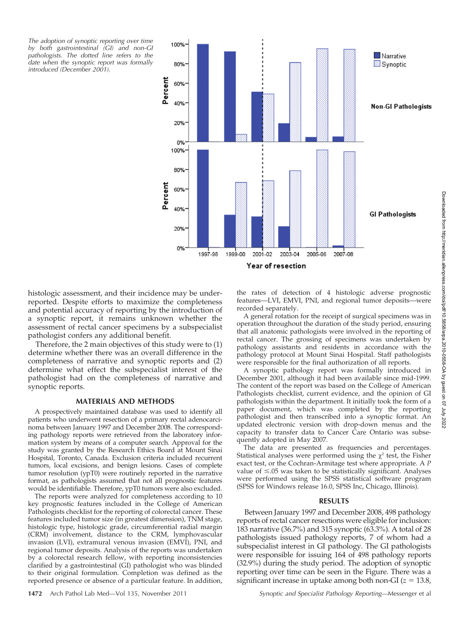The adoption of synoptic reporting over time by both gastrointestinal (GI) and non-GI pathologists. The dotted line refers to the date when the synoptic report was formally introduced (December 2001).



histologic assessment, and their incidence may be underreported. Despite efforts to maximize the completeness and potential accuracy of reporting by the introduction of a synoptic report, it remains unknown whether the assessment of rectal cancer specimens by a subspecialist pathologist confers any additional benefit.

Therefore, the 2 main objectives of this study were to (1) determine whether there was an overall difference in the completeness of narrative and synoptic reports and (2) determine what effect the subspecialist interest of the pathologist had on the completeness of narrative and synoptic reports.

### MATERIALS AND METHODS

A prospectively maintained database was used to identify all patients who underwent resection of a primary rectal adenocarcinoma between January 1997 and December 2008. The corresponding pathology reports were retrieved from the laboratory information system by means of a computer search. Approval for the study was granted by the Research Ethics Board at Mount Sinai Hospital, Toronto, Canada. Exclusion criteria included recurrent tumors, local excisions, and benign lesions. Cases of complete tumor resolution (ypT0) were routinely reported in the narrative format, as pathologists assumed that not all prognostic features would be identifiable. Therefore, ypT0 tumors were also excluded.

The reports were analyzed for completeness according to 10 key prognostic features included in the College of American Pathologists checklist for the reporting of colorectal cancer. These features included tumor size (in greatest dimension), TNM stage, histologic type, histologic grade, circumferential radial margin (CRM) involvement, distance to the CRM, lymphovascular invasion (LVI), extramural venous invasion (EMVI), PNI, and regional tumor deposits. Analysis of the reports was undertaken by a colorectal research fellow, with reporting inconsistencies clarified by a gastrointestinal (GI) pathologist who was blinded to their original formulation. Completion was defined as the reported presence or absence of a particular feature. In addition,

the rates of detection of 4 histologic adverse prognostic features—LVI, EMVI, PNI, and regional tumor deposits—were recorded separately.

A general rotation for the receipt of surgical specimens was in operation throughout the duration of the study period, ensuring that all anatomic pathologists were involved in the reporting of rectal cancer. The grossing of specimens was undertaken by pathology assistants and residents in accordance with the pathology protocol at Mount Sinai Hospital. Staff pathologists were responsible for the final authorization of all reports.

A synoptic pathology report was formally introduced in December 2001, although it had been available since mid-1999. The content of the report was based on the College of American Pathologists checklist, current evidence, and the opinion of GI pathologists within the department. It initially took the form of a paper document, which was completed by the reporting pathologist and then transcribed into a synoptic format. An updated electronic version with drop-down menus and the capacity to transfer data to Cancer Care Ontario was subsequently adopted in May 2007.

The data are presented as frequencies and percentages. Statistical analyses were performed using the  $\chi^2$  test, the Fisher exact test, or the Cochran-Armitage test where appropriate. A P value of  $\leq 05$  was taken to be statistically significant. Analyses were performed using the SPSS statistical software program (SPSS for Windows release 16.0, SPSS Inc, Chicago, Illinois).

#### RESULTS

Between January 1997 and December 2008, 498 pathology reports of rectal cancer resections were eligible for inclusion: 183 narrative (36.7%) and 315 synoptic (63.3%). A total of 28 pathologists issued pathology reports, 7 of whom had a subspecialist interest in GI pathology. The GI pathologists were responsible for issuing 164 of 498 pathology reports (32.9%) during the study period. The adoption of synoptic reporting over time can be seen in the Figure. There was a significant increase in uptake among both non-GI ( $z = 13.8$ ,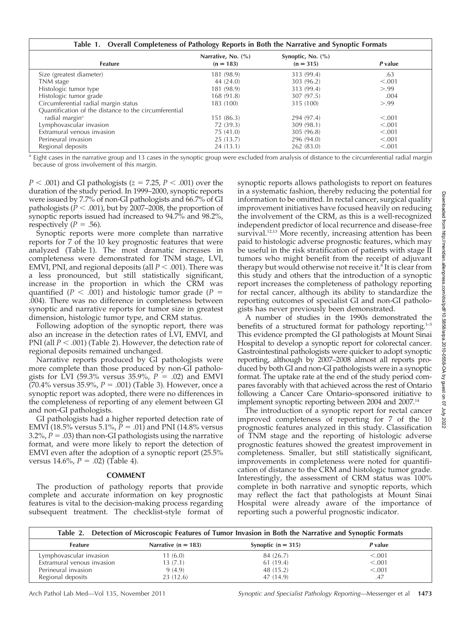| Table 1. Overall Completeness of Pathology Reports in Both the Narrative and Synoptic Formats |                                   |                                      |         |  |
|-----------------------------------------------------------------------------------------------|-----------------------------------|--------------------------------------|---------|--|
| <b>Feature</b>                                                                                | Narrative, No. (%)<br>$(n = 183)$ | Synoptic, No. $(\% )$<br>$(n = 315)$ | P value |  |
| Size (greatest diameter)                                                                      | 181 (98.9)                        | 313 (99.4)                           | .63     |  |
| TNM stage                                                                                     | 44 (24.0)                         | 303 (96.2)                           | < 0.001 |  |
| Histologic tumor type                                                                         | 181 (98.9)                        | 313 (99.4)                           | > 0.99  |  |
| Histologic tumor grade                                                                        | 168(91.8)                         | 307 (97.5)                           | .004    |  |
| Circumferential radial margin status                                                          | 183 (100)                         | 315 (100)                            | > 0.99  |  |
| Quantification of the distance to the circumferential                                         |                                   |                                      |         |  |
| radial margin <sup>a</sup>                                                                    | 151(86.3)                         | 294 (97.4)                           | < 0.001 |  |
| Lymphovascular invasion                                                                       | 72 (39.3)                         | 309 (98.1)                           | < 0.001 |  |
| Extramural venous invasion                                                                    | 75(41.0)                          | 305 (96.8)                           | < 0.001 |  |
| Perineural invasion                                                                           | 25(13.7)                          | 296 (94.0)                           | < 0.001 |  |
| Regional deposits                                                                             | 24 (13.1)                         | 262 (83.0)                           | < 0.001 |  |

<sup>a</sup> Eight cases in the narrative group and 13 cases in the synoptic group were excluded from analysis of distance to the circumferential radial margin because of gross involvement of this margin.

 $P < .001$ ) and GI pathologists ( $z = 7.25$ ,  $P < .001$ ) over the duration of the study period. In 1999–2000, synoptic reports were issued by 7.7% of non-GI pathologists and 66.7% of GI pathologists ( $P < .001$ ), but by 2007–2008, the proportion of synoptic reports issued had increased to 94.7% and 98.2%, respectively ( $P = .56$ ).

Synoptic reports were more complete than narrative reports for 7 of the 10 key prognostic features that were analyzed (Table 1). The most dramatic increases in completeness were demonstrated for TNM stage, LVI, EMVI, PNI, and regional deposits (all  $P < .001$ ). There was a less pronounced, but still statistically significant, increase in the proportion in which the CRM was quantified ( $P < .001$ ) and histologic tumor grade ( $P =$ .004). There was no difference in completeness between synoptic and narrative reports for tumor size in greatest dimension, histologic tumor type, and CRM status.

Following adoption of the synoptic report, there was also an increase in the detection rates of LVI, EMVI, and PNI (all  $P < .001$ ) (Table 2). However, the detection rate of regional deposits remained unchanged.

Narrative reports produced by GI pathologists were more complete than those produced by non-GI pathologists for LVI (59.3% versus 35.9%,  $P = .02$ ) and EMVI (70.4% versus 35.9%,  $P = .001$ ) (Table 3). However, once a synoptic report was adopted, there were no differences in the completeness of reporting of any element between GI and non-GI pathologists.

GI pathologists had a higher reported detection rate of EMVI (18.5% versus 5.1%,  $P = .01$ ) and PNI (14.8% versus 3.2%,  $P = .03$ ) than non-GI pathologists using the narrative format, and were more likely to report the detection of EMVI even after the adoption of a synoptic report (25.5% versus  $14.6\%$ ,  $P = .02$ ) (Table 4).

## COMMENT

The production of pathology reports that provide complete and accurate information on key prognostic features is vital to the decision-making process regarding subsequent treatment. The checklist-style format of

synoptic reports allows pathologists to report on features in a systematic fashion, thereby reducing the potential for information to be omitted. In rectal cancer, surgical quality improvement initiatives have focused heavily on reducing the involvement of the CRM, as this is a well-recognized independent predictor of local recurrence and disease-free survival.<sup>12,13</sup> More recently, increasing attention has been paid to histologic adverse prognostic features, which may be useful in the risk stratification of patients with stage II tumors who might benefit from the receipt of adjuvant therapy but would otherwise not receive it.<sup>8</sup> It is clear from this study and others that the introduction of a synoptic report increases the completeness of pathology reporting for rectal cancer, although its ability to standardize the reporting outcomes of specialist GI and non-GI pathologists has never previously been demonstrated.

A number of studies in the 1990s demonstrated the benefits of a structured format for pathology reporting. $1-3$ This evidence prompted the GI pathologists at Mount Sinai Hospital to develop a synoptic report for colorectal cancer. Gastrointestinal pathologists were quicker to adopt synoptic reporting, although by 2007–2008 almost all reports produced by both GI and non-GI pathologists were in a synoptic format. The uptake rate at the end of the study period compares favorably with that achieved across the rest of Ontario following a Cancer Care Ontario–sponsored initiative to implement synoptic reporting between 2004 and 2007.14

The introduction of a synoptic report for rectal cancer improved completeness of reporting for 7 of the 10 prognostic features analyzed in this study. Classification of TNM stage and the reporting of histologic adverse prognostic features showed the greatest improvement in completeness. Smaller, but still statistically significant, improvements in completeness were noted for quantification of distance to the CRM and histologic tumor grade. Interestingly, the assessment of CRM status was 100% complete in both narrative and synoptic reports, which may reflect the fact that pathologists at Mount Sinai Hospital were already aware of the importance of reporting such a powerful prognostic indicator.

| Table 2. Detection of Microscopic Features of Tumor Invasion in Both the Narrative and Synoptic Formats |                       |                      |         |
|---------------------------------------------------------------------------------------------------------|-----------------------|----------------------|---------|
| <b>Feature</b>                                                                                          | Narrative $(n = 183)$ | Synoptic $(n = 315)$ | P value |
| Lymphovascular invasion                                                                                 | 11(6.0)               | 84 (26.7)            | < 0.001 |
| Extramural venous invasion                                                                              | 13(7.1)               | 61 (19.4)            | < 0.001 |
| Perineural invasion                                                                                     | 9(4.9)                | 48 (15.2)            | < 0.001 |
| Regional deposits                                                                                       | 23(12.6)              | 47 (14.9)            | .47     |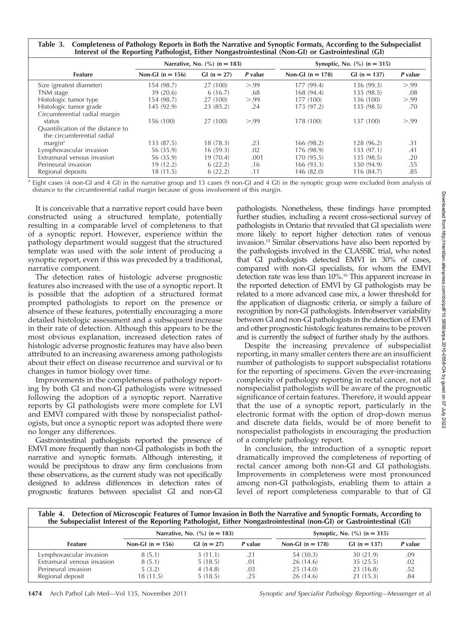Table 3. Completeness of Pathology Reports in Both the Narrative and Synoptic Formats, According to the Subspecialist Interest of the Reporting Pathologist, Either Nongastrointestinal (Non-GI) or Gastrointestinal (GI)

|                                   | Narrative, No. $(\% )$ (n = 183) |              |         | Synoptic, No. $(\% )$ (n = 315) |               |         |
|-----------------------------------|----------------------------------|--------------|---------|---------------------------------|---------------|---------|
| Feature                           | Non-GI $(n = 156)$               | $GI(n = 27)$ | P value | Non-GI $(n = 178)$              | $GI(n = 137)$ | P value |
| Size (greatest diameter)          | 154 (98.7)                       | 27 (100)     | > 99    | 177 (99.4)                      | 136(99.3)     | > 0.99  |
| TNM stage                         | 39(20.6)                         | 6(16.7)      | .68     | 168 (94.4)                      | 135 (98.5)    | .08     |
| Histologic tumor type             | 154 (98.7)                       | 27 (100)     | > 99    | 177 (100)                       | 136 (100)     | > 0.99  |
| Histologic tumor grade            | 145 (92.9)                       | 23 (85.2)    | .24     | 173 (97.2)                      | 135 (98.5)    | .70     |
| Circumferential radial margin     |                                  |              |         |                                 |               |         |
| status                            | 156 (100)                        | 27 (100)     | > 99    | 178 (100)                       | 137 (100)     | > 0.99  |
| Quantification of the distance to |                                  |              |         |                                 |               |         |
| the circumferential radial        |                                  |              |         |                                 |               |         |
| margin <sup>a</sup>               | 133 (87.5)                       | 18(78.3)     | .23     | 166 (98.2)                      | 128 (96.2)    | .31     |
| Lymphovascular invasion           | 56 (35.9)                        | 16(59.3)     | .02     | 176 (98.9)                      | 133 (97.1)    | .41     |
| Extramural venous invasion        | 56 (35.9)                        | 19(70.4)     | .001    | 170 (95.5)                      | 135 (98.5)    | .20     |
| Perineural invasion               | 19 (12.2)                        | 6(22.2)      | .16     | 166(93.3)                       | 130 (94.9)    | .55     |
| Regional deposits                 | 18 (11.5)                        | 6(22.2)      | .11     | 146 (82.0)                      | 116 (84.7)    | .85     |

<sup>a</sup> Eight cases (4 non-GI and 4 GI) in the narrative group and 13 cases (9 non-GI and 4 GI) in the synoptic group were excluded from analysis of distance to the circumferential radial margin because of gross involvement of this margin.

It is conceivable that a narrative report could have been constructed using a structured template, potentially resulting in a comparable level of completeness to that of a synoptic report. However, experience within the pathology department would suggest that the structured template was used with the sole intent of producing a synoptic report, even if this was preceded by a traditional, narrative component.

The detection rates of histologic adverse prognostic features also increased with the use of a synoptic report. It is possible that the adoption of a structured format prompted pathologists to report on the presence or absence of these features, potentially encouraging a more detailed histologic assessment and a subsequent increase in their rate of detection. Although this appears to be the most obvious explanation, increased detection rates of histologic adverse prognostic features may have also been attributed to an increasing awareness among pathologists about their effect on disease recurrence and survival or to changes in tumor biology over time.

Improvements in the completeness of pathology reporting by both GI and non-GI pathologists were witnessed following the adoption of a synoptic report. Narrative reports by GI pathologists were more complete for LVI and EMVI compared with those by nonspecialist pathologists, but once a synoptic report was adopted there were no longer any differences.

Gastrointestinal pathologists reported the presence of EMVI more frequently than non-GI pathologists in both the narrative and synoptic formats. Although interesting, it would be precipitous to draw any firm conclusions from these observations, as the current study was not specifically designed to address differences in detection rates of prognostic features between specialist GI and non-GI pathologists. Nonetheless, these findings have prompted further studies, including a recent cross-sectional survey of pathologists in Ontario that revealed that GI specialists were more likely to report higher detection rates of venous invasion.15 Similar observations have also been reported by the pathologists involved in the CLASSIC trial, who noted that GI pathologists detected EMVI in 30% of cases, compared with non-GI specialists, for whom the EMVI detection rate was less than 10%.<sup>16</sup> This apparent increase in the reported detection of EMVI by GI pathologists may be related to a more advanced case mix, a lower threshold for the application of diagnostic criteria, or simply a failure of recognition by non-GI pathologists. Interobserver variability between GI and non-GI pathologists in the detection of EMVI and other prognostic histologic features remains to be proven and is currently the subject of further study by the authors.

Despite the increasing prevalence of subspecialist reporting, in many smaller centers there are an insufficient number of pathologists to support subspecialist rotations for the reporting of specimens. Given the ever-increasing complexity of pathology reporting in rectal cancer, not all nonspecialist pathologists will be aware of the prognostic significance of certain features. Therefore, it would appear that the use of a synoptic report, particularly in the electronic format with the option of drop-down menus and discrete data fields, would be of more benefit to nonspecialist pathologists in encouraging the production of a complete pathology report.

In conclusion, the introduction of a synoptic report dramatically improved the completeness of reporting of rectal cancer among both non-GI and GI pathologists. Improvements in completeness were most pronounced among non-GI pathologists, enabling them to attain a level of report completeness comparable to that of GI

Table 4. Detection of Microscopic Features of Tumor Invasion in Both the Narrative and Synoptic Formats, According to the Subspecialist Interest of the Reporting Pathologist, Either Nongastrointestinal (non-GI) or Gastrointestinal (GI)

|                            | Narrative, No. $\frac{6}{6}$ (n = 183) |              |         |                    | Synoptic, No. $(\% )$ (n = 315) |         |
|----------------------------|----------------------------------------|--------------|---------|--------------------|---------------------------------|---------|
| <b>Feature</b>             | Non-GI $(n = 156)$                     | $GI(n = 27)$ | P value | Non-GI $(n = 178)$ | $GI(n = 137)$                   | P value |
| Lymphovascular invasion    | 8(5.1)                                 | 3(11.1)      | .21     | 54 (30.3)          | 30 (21.9)                       | .09     |
| Extramural venous invasion | 8(5.1)                                 | 5(18.5)      | .01     | 26(14.6)           | 35(25.5)                        | .02     |
| Perineural invasion        | 5(3.2)                                 | 4(14.8)      | .03     | 25 (14.0)          | 23 (16.8)                       | .52     |
| Regional deposit           | 18 (11.5)                              | 5(18.5)      | .25     | 26 (14.6)          | 21 (15.3)                       | .84     |